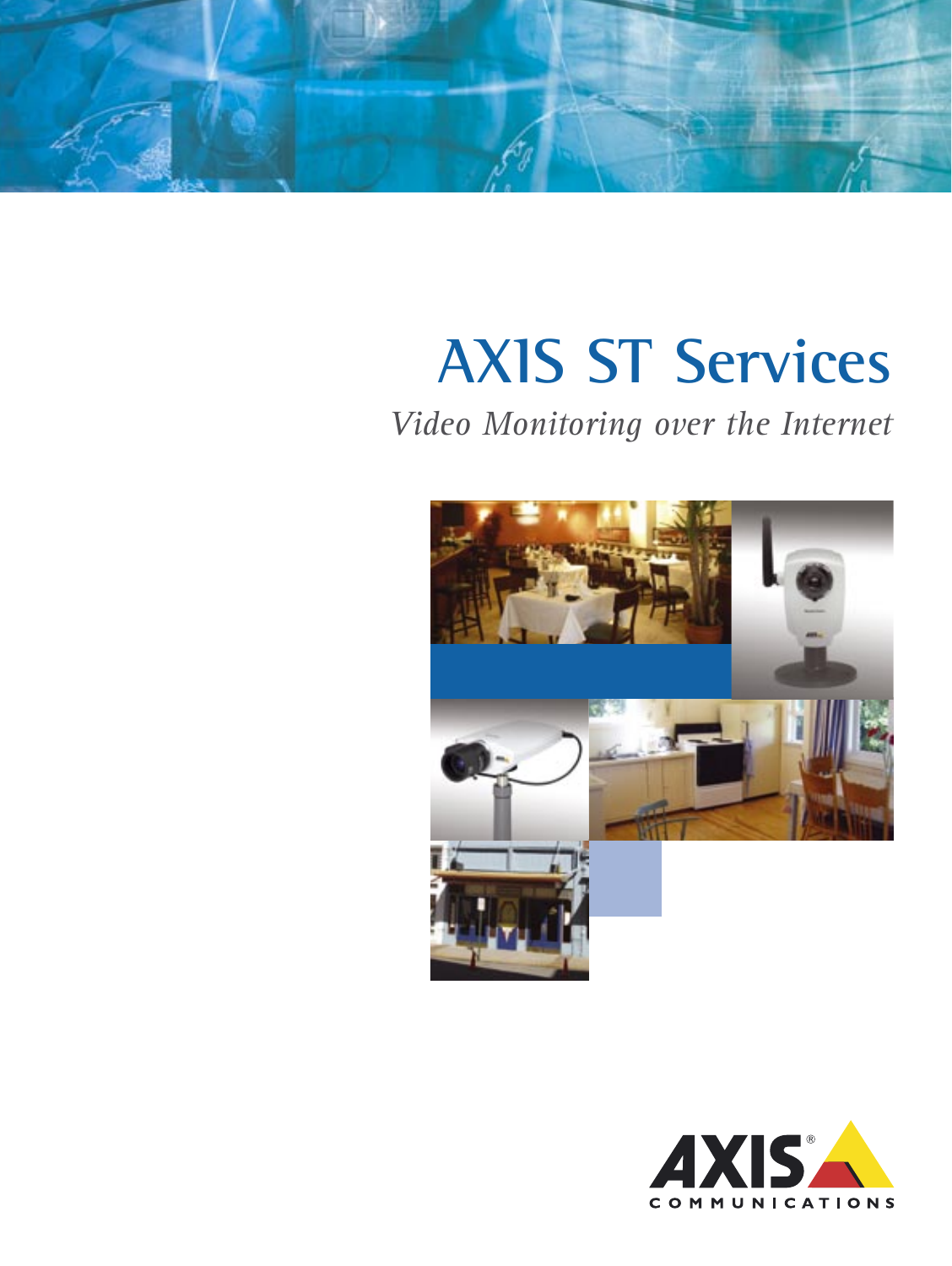

# **AXIS ST Services**

## *Video Monitoring over the Internet*



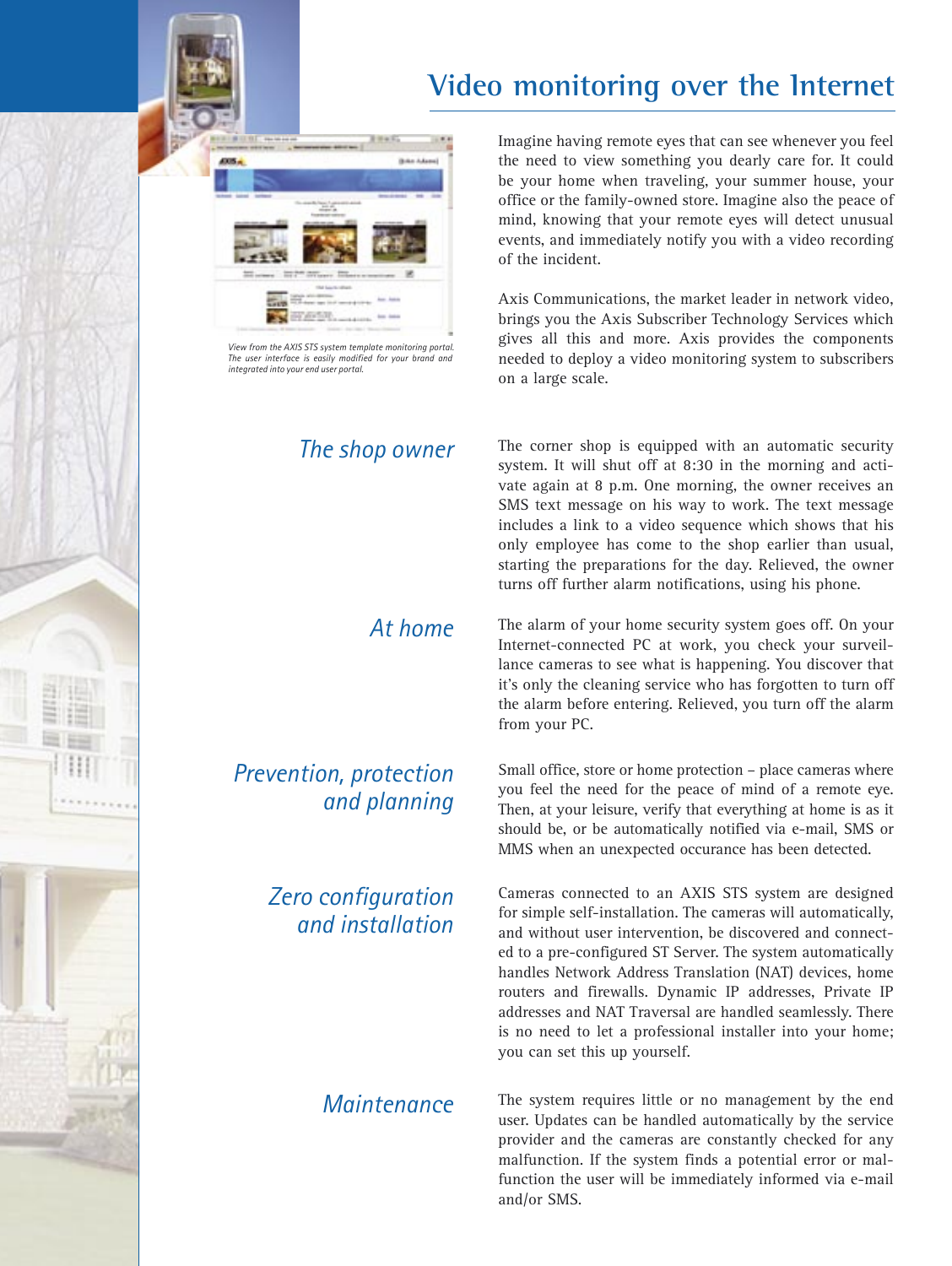



*View from the AXIS STS system template monitoring portal. The user interface is easily modified for your brand and integrated into your end user portal.*

### *Prevention, protection and planning*

#### *Zero configuration and installation*

Imagine having remote eyes that can see whenever you feel the need to view something you dearly care for. It could be your home when traveling, your summer house, your office or the family-owned store. Imagine also the peace of mind, knowing that your remote eyes will detect unusual events, and immediately notify you with a video recording of the incident.

Axis Communications, the market leader in network video, brings you the Axis Subscriber Technology Services which gives all this and more. Axis provides the components needed to deploy a video monitoring system to subscribers on a large scale.

*The shop owner* The corner shop is equipped with an automatic security system. It will shut off at 8:30 in the morning and activate again at 8 p.m. One morning, the owner receives an SMS text message on his way to work. The text message includes a link to a video sequence which shows that his only employee has come to the shop earlier than usual, starting the preparations for the day. Relieved, the owner turns off further alarm notifications, using his phone.

> At home The alarm of your home security system goes off. On your Internet-connected PC at work, you check your surveillance cameras to see what is happening. You discover that it's only the cleaning service who has forgotten to turn off the alarm before entering. Relieved, you turn off the alarm from your PC.

> > Small office, store or home protection – place cameras where you feel the need for the peace of mind of a remote eye. Then, at your leisure, verify that everything at home is as it should be, or be automatically notified via e-mail, SMS or MMS when an unexpected occurance has been detected.

> > Cameras connected to an AXIS STS system are designed for simple self-installation. The cameras will automatically, and without user intervention, be discovered and connected to a pre-configured ST Server. The system automatically handles Network Address Translation (NAT) devices, home routers and firewalls. Dynamic IP addresses, Private IP addresses and NAT Traversal are handled seamlessly. There is no need to let a professional installer into your home; you can set this up yourself.

*Maintenance* The system requires little or no management by the end user. Updates can be handled automatically by the service provider and the cameras are constantly checked for any malfunction. If the system finds a potential error or malfunction the user will be immediately informed via e-mail and/or SMS.

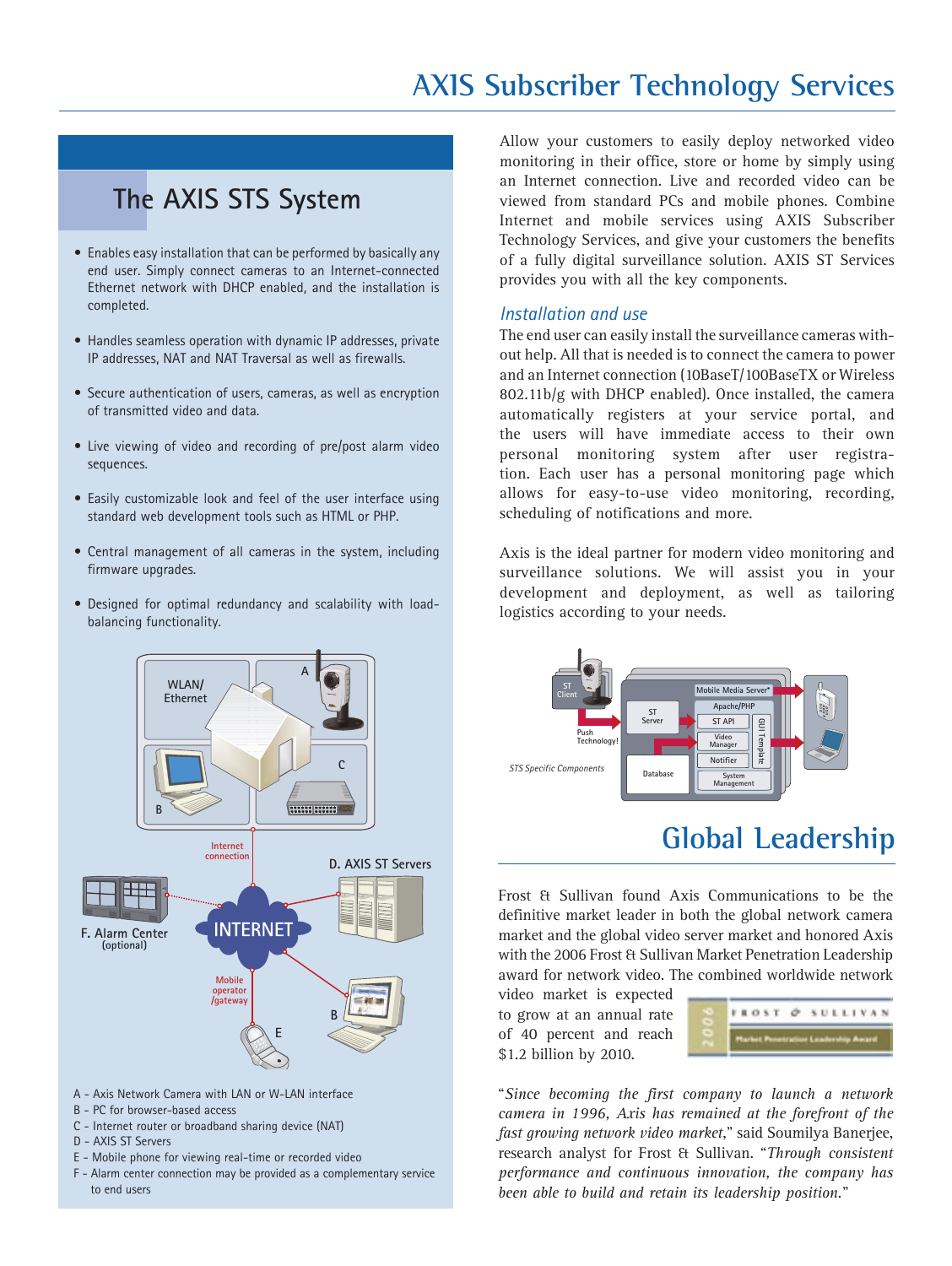## **AXIS Subscriber Technology Services**

### **The AXIS STS System**

- Enables easy installation that can be performed by basically any end user. Simply connect cameras to an Internet-connected Ethernet network with DHCP enabled, and the installation is completed.
- Handles seamless operation with dynamic IP addresses, private IP addresses, NAT and NAT Traversal as well as firewalls.
- Secure authentication of users, cameras, as well as encryption of transmitted video and data.
- Live viewing of video and recording of pre/post alarm video sequences.
- Easily customizable look and feel of the user interface using standard web development tools such as HTML or PHP.
- Central management of all cameras in the system, including firmware upgrades.
- Designed for optimal redundancy and scalability with loadbalancing functionality.



- A Axis Network Camera with LAN or W-LAN interface
- B PC for browser-based access
- C Internet router or broadband sharing device (NAT)
- D AXIS ST Servers
- E Mobile phone for viewing real-time or recorded video
- F Alarm center connection may be provided as a complementary service to end users

Allow your customers to easily deploy networked video monitoring in their office, store or home by simply using an Internet connection. Live and recorded video can be viewed from standard PCs and mobile phones. Combine Internet and mobile services using AXIS Subscriber Technology Services, and give your customers the benefits of a fully digital surveillance solution. AXIS ST Services provides you with all the key components.

#### *Installation and use*

The end user can easily install the surveillance cameras without help. All that is needed is to connect the camera to power and an Internet connection (10BaseT/100BaseTX or Wireless 802.11b/g with DHCP enabled). Once installed, the camera automatically registers at your service portal, and the users will have immediate access to their own personal monitoring system after user registration. Each user has a personal monitoring page which allows for easy-to-use video monitoring, recording, scheduling of notifications and more.

Axis is the ideal partner for modern video monitoring and surveillance solutions. We will assist you in your development and deployment, as well as tailoring logistics according to your needs.



### **Global Leadership**

Frost & Sullivan found Axis Communications to be the definitive market leader in both the global network camera market and the global video server market and honored Axis with the 2006 Frost & Sullivan Market Penetration Leadership award for network video. The combined worldwide network

video market is expected to grow at an annual rate of 40 percent and reach \$1.2 billion by 2010.



"*Since becoming the first company to launch a network camera in 1996, Axis has remained at the forefront of the fast growing network video market*," said Soumilya Banerjee, research analyst for Frost & Sullivan. "*Through consistent performance and continuous innovation, the company has been able to build and retain its leadership position.*"